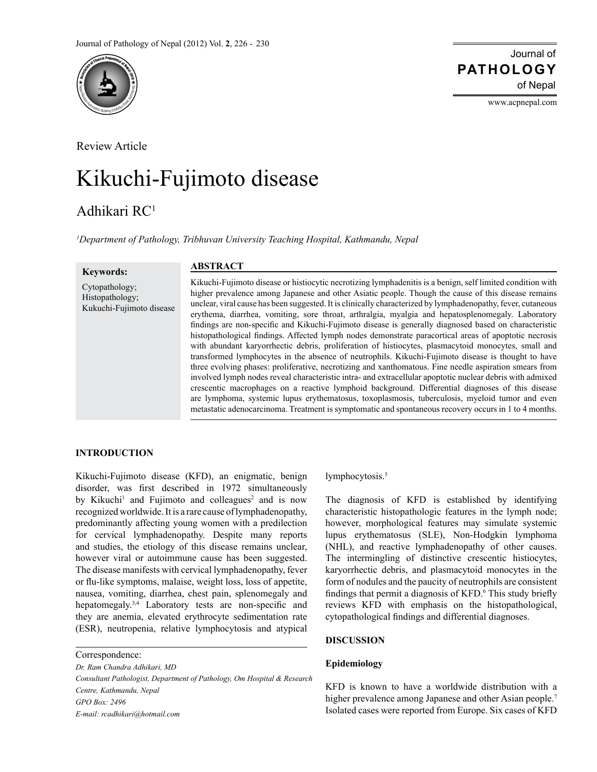

Review Article

# Kikuchi-Fujimoto disease

# Adhikari RC1

*1 Department of Pathology, Tribhuvan University Teaching Hospital, Kathmandu, Nepal*

**Keywords:** Cytopathology; Histopathology; Kukuchi-Fujimoto disease

# **ABSTRACT**

Kikuchi-Fujimoto disease or histiocytic necrotizing lymphadenitis is a benign, self limited condition with higher prevalence among Japanese and other Asiatic people. Though the cause of this disease remains unclear, viral cause has been suggested. It is clinically characterized by lymphadenopathy, fever, cutaneous erythema, diarrhea, vomiting, sore throat, arthralgia, myalgia and hepatosplenomegaly. Laboratory findings are non-specific and Kikuchi-Fujimoto disease is generally diagnosed based on characteristic histopathological findings. Affected lymph nodes demonstrate paracortical areas of apoptotic necrosis with abundant karyorrhectic debris, proliferation of histiocytes, plasmacytoid monocytes, small and transformed lymphocytes in the absence of neutrophils. Kikuchi-Fujimoto disease is thought to have three evolving phases: proliferative, necrotizing and xanthomatous. Fine needle aspiration smears from involved lymph nodes reveal characteristic intra- and extracellular apoptotic nuclear debris with admixed crescentic macrophages on a reactive lymphoid background. Differential diagnoses of this disease are lymphoma, systemic lupus erythematosus, toxoplasmosis, tuberculosis, myeloid tumor and even metastatic adenocarcinoma. Treatment is symptomatic and spontaneous recovery occurs in 1 to 4 months.

# **INTRODUCTION**

Kikuchi-Fujimoto disease (KFD), an enigmatic, benign disorder, was first described in 1972 simultaneously by Kikuchi<sup>1</sup> and Fujimoto and colleagues<sup>2</sup> and is now recognized worldwide. It is a rare cause of lymphadenopathy, predominantly affecting young women with a predilection for cervical lymphadenopathy. Despite many reports and studies, the etiology of this disease remains unclear, however viral or autoimmune cause has been suggested. The disease manifests with cervical lymphadenopathy, fever or flu-like symptoms, malaise, weight loss, loss of appetite, nausea, vomiting, diarrhea, chest pain, splenomegaly and hepatomegaly.<sup>3,4</sup> Laboratory tests are non-specific and they are anemia, elevated erythrocyte sedimentation rate (ESR), neutropenia, relative lymphocytosis and atypical

Correspondence:

*Dr. Ram Chandra Adhikari, MD Consultant Pathologist, Department of Pathology, Om Hospital & Research Centre, Kathmandu, Nepal GPO Box: 2496 E-mail: rcadhikari@hotmail.com*

lymphocytosis.<sup>5</sup>

The diagnosis of KFD is established by identifying characteristic histopathologic features in the lymph node; however, morphological features may simulate systemic lupus erythematosus (SLE), Non-Hodgkin lymphoma (NHL), and reactive lymphadenopathy of other causes. The intermingling of distinctive crescentic histiocytes, karyorrhectic debris, and plasmacytoid monocytes in the form of nodules and the paucity of neutrophils are consistent findings that permit a diagnosis of KFD.<sup>6</sup> This study briefly reviews KFD with emphasis on the histopathological, cytopathological findings and differential diagnoses.

#### **DISCUSSION**

# **Epidemiology**

KFD is known to have a worldwide distribution with a higher prevalence among Japanese and other Asian people.<sup>7</sup> Isolated cases were reported from Europe. Six cases of KFD

Journal of of Nepal **PATHOLOGY**

www.acpnepal.com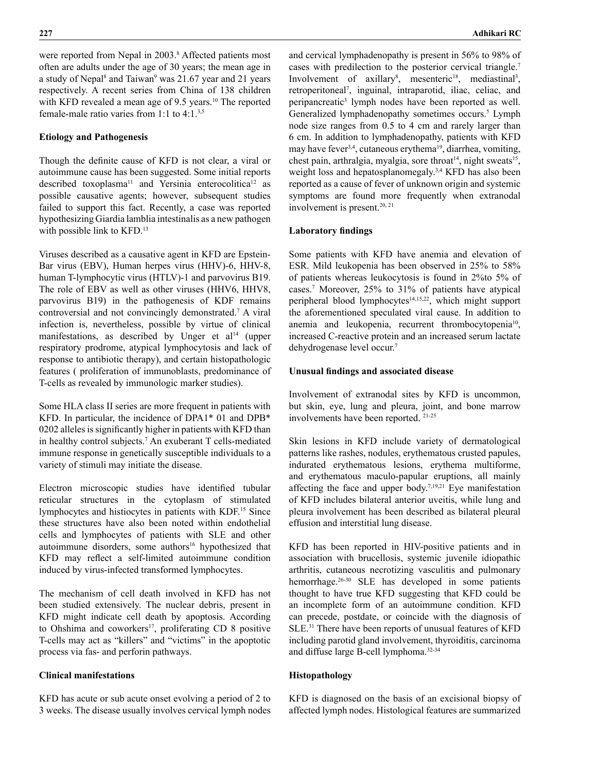were reported from Nepal in 2003.<sup>8</sup> Affected patients most often are adults under the age of 30 years; the mean age in a study of Nepal<sup>8</sup> and Taiwan<sup>9</sup> was 21.67 year and 21 years respectively. A recent series from China of 138 children with KFD revealed a mean age of 9.5 years.<sup>10</sup> The reported female-male ratio varies from 1:1 to 4:1.3,5

# **Etiology and Pathogenesis**

Though the definite cause of KFD is not clear, a viral or autoimmune cause has been suggested. Some initial reports described toxoplasma<sup>11</sup> and Yersinia enterocolitica<sup>12</sup> as possible causative agents; however, subsequent studies failed to support this fact. Recently, a case was reported hypothesizing Giardia lamblia intestinalis as a new pathogen with possible link to KFD.<sup>13</sup>

Viruses described as a causative agent in KFD are Epstein-Bar virus (EBV), Human herpes virus (HHV)-6, HHV-8, human T-lymphocytic virus (HTLV)-1 and parvovirus B19. The role of EBV as well as other viruses (HHV6, HHV8, parvovirus B19) in the pathogenesis of KDF remains controversial and not convincingly demonstrated.<sup>7</sup> A viral infection is, nevertheless, possible by virtue of clinical manifestations, as described by Unger et  $al<sup>14</sup>$  (upper respiratory prodrome, atypical lymphocytosis and lack of response to antibiotic therapy), and certain histopathologic features ( proliferation of immunoblasts, predominance of T-cells as revealed by immunologic marker studies).

Some HLA class II series are more frequent in patients with KFD. In particular, the incidence of DPA1\* 01 and DPB\* 0202 alleles is significantly higher in patients with KFD than in healthy control subjects.7 An exuberant T cells-mediated immune response in genetically susceptible individuals to a variety of stimuli may initiate the disease.

Electron microscopic studies have identified tubular reticular structures in the cytoplasm of stimulated lymphocytes and histiocytes in patients with KDF.15 Since these structures have also been noted within endothelial cells and lymphocytes of patients with SLE and other autoimmune disorders, some authors<sup>16</sup> hypothesized that KFD may reflect a self-limited autoimmune condition induced by virus-infected transformed lymphocytes.

The mechanism of cell death involved in KFD has not been studied extensively. The nuclear debris, present in KFD might indicate cell death by apoptosis. According to Ohshima and coworkers<sup>17</sup>, proliferating CD 8 positive T-cells may act as "killers" and "victims" in the apoptotic process via fas- and perforin pathways.

# **Clinical manifestations**

KFD has acute or sub acute onset evolving a period of 2 to 3 weeks. The disease usually involves cervical lymph nodes and cervical lymphadenopathy is present in 56% to 98% of cases with predilection to the posterior cervical triangle.7 Involvement of axillary<sup>8</sup>, mesenteric<sup>18</sup>, mediastinal<sup>3</sup>, retroperitoneal7 , inguinal, intraparotid, iliac, celiac, and peripancreatic<sup>3</sup> lymph nodes have been reported as well. Generalized lymphadenopathy sometimes occurs.<sup>5</sup> Lymph node size ranges from 0.5 to 4 cm and rarely larger than 6 cm. In addition to lymphadenopathy, patients with KFD may have fever<sup>3,4</sup>, cutaneous erythema<sup>19</sup>, diarrhea, vomiting, chest pain, arthralgia, myalgia, sore throat<sup>14</sup>, night sweats<sup>15</sup>, weight loss and hepatosplanomegaly.3,4 KFD has also been reported as a cause of fever of unknown origin and systemic symptoms are found more frequently when extranodal involvement is present. $20, 21$ 

### **Laboratory findings**

Some patients with KFD have anemia and elevation of ESR. Mild leukopenia has been observed in 25% to 58% of patients whereas leukocytosis is found in 2%to 5% of cases.7 Moreover, 25% to 31% of patients have atypical peripheral blood lymphocytes<sup>14,15,22</sup>, which might support the aforementioned speculated viral cause. In addition to anemia and leukopenia, recurrent thrombocytopenia<sup>10</sup>, increased C-reactive protein and an increased serum lactate dehydrogenase level occur.7

#### **Unusual findings and associated disease**

Involvement of extranodal sites by KFD is uncommon, but skin, eye, lung and pleura, joint, and bone marrow involvements have been reported. 21-25

Skin lesions in KFD include variety of dermatological patterns like rashes, nodules, erythematous crusted papules, indurated erythematous lesions, erythema multiforme, and erythematous maculo-papular eruptions, all mainly affecting the face and upper body.7,19,21 Eye manifestation of KFD includes bilateral anterior uveitis, while lung and pleura involvement has been described as bilateral pleural effusion and interstitial lung disease.

KFD has been reported in HIV-positive patients and in association with brucellosis, systemic juvenile idiopathic arthritis, cutaneous necrotizing vasculitis and pulmonary hemorrhage.26-30 SLE has developed in some patients thought to have true KFD suggesting that KFD could be an incomplete form of an autoimmune condition. KFD can precede, postdate, or coincide with the diagnosis of SLE.31 There have been reports of unusual features of KFD including parotid gland involvement, thyroiditis, carcinoma and diffuse large B-cell lymphoma.32-34

#### **Histopathology**

KFD is diagnosed on the basis of an excisional biopsy of affected lymph nodes. Histological features are summarized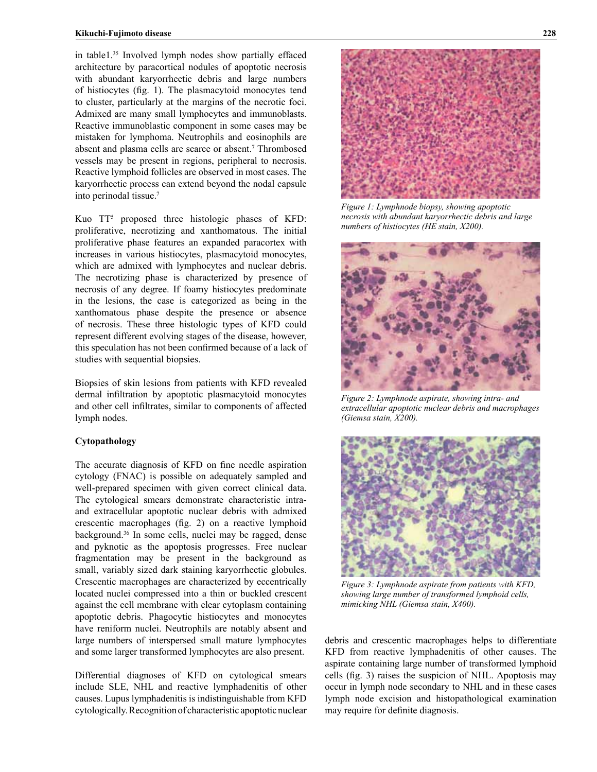in table1.35 Involved lymph nodes show partially effaced architecture by paracortical nodules of apoptotic necrosis with abundant karyorrhectic debris and large numbers of histiocytes (fig. 1). The plasmacytoid monocytes tend to cluster, particularly at the margins of the necrotic foci. Admixed are many small lymphocytes and immunoblasts. Reactive immunoblastic component in some cases may be mistaken for lymphoma. Neutrophils and eosinophils are absent and plasma cells are scarce or absent.<sup>7</sup> Thrombosed vessels may be present in regions, peripheral to necrosis. Reactive lymphoid follicles are observed in most cases. The karyorrhectic process can extend beyond the nodal capsule into perinodal tissue.7

Kuo TT5 proposed three histologic phases of KFD: proliferative, necrotizing and xanthomatous. The initial proliferative phase features an expanded paracortex with increases in various histiocytes, plasmacytoid monocytes, which are admixed with lymphocytes and nuclear debris. The necrotizing phase is characterized by presence of necrosis of any degree. If foamy histiocytes predominate in the lesions, the case is categorized as being in the xanthomatous phase despite the presence or absence of necrosis. These three histologic types of KFD could represent different evolving stages of the disease, however, this speculation has not been confirmed because of a lack of studies with sequential biopsies.

Biopsies of skin lesions from patients with KFD revealed dermal infiltration by apoptotic plasmacytoid monocytes and other cell infiltrates, similar to components of affected lymph nodes.

### **Cytopathology**

The accurate diagnosis of KFD on fine needle aspiration cytology (FNAC) is possible on adequately sampled and well-prepared specimen with given correct clinical data. The cytological smears demonstrate characteristic intraand extracellular apoptotic nuclear debris with admixed crescentic macrophages (fig. 2) on a reactive lymphoid background.36 In some cells, nuclei may be ragged, dense and pyknotic as the apoptosis progresses. Free nuclear fragmentation may be present in the background as small, variably sized dark staining karyorrhectic globules. Crescentic macrophages are characterized by eccentrically located nuclei compressed into a thin or buckled crescent against the cell membrane with clear cytoplasm containing apoptotic debris. Phagocytic histiocytes and monocytes have reniform nuclei. Neutrophils are notably absent and large numbers of interspersed small mature lymphocytes and some larger transformed lymphocytes are also present.

Differential diagnoses of KFD on cytological smears include SLE, NHL and reactive lymphadenitis of other causes. Lupus lymphadenitis is indistinguishable from KFD cytologically. Recognition of characteristic apoptotic nuclear



*Figure 1: Lymphnode biopsy, showing apoptotic necrosis with abundant karyorrhectic debris and large numbers of histiocytes (HE stain, X200).*



*Figure 2: Lymphnode aspirate, showing intra- and extracellular apoptotic nuclear debris and macrophages (Giemsa stain, X200).*



*Figure 3: Lymphnode aspirate from patients with KFD, showing large number of transformed lymphoid cells, mimicking NHL (Giemsa stain, X400).*

debris and crescentic macrophages helps to differentiate KFD from reactive lymphadenitis of other causes. The aspirate containing large number of transformed lymphoid cells (fig. 3) raises the suspicion of NHL. Apoptosis may occur in lymph node secondary to NHL and in these cases lymph node excision and histopathological examination may require for definite diagnosis.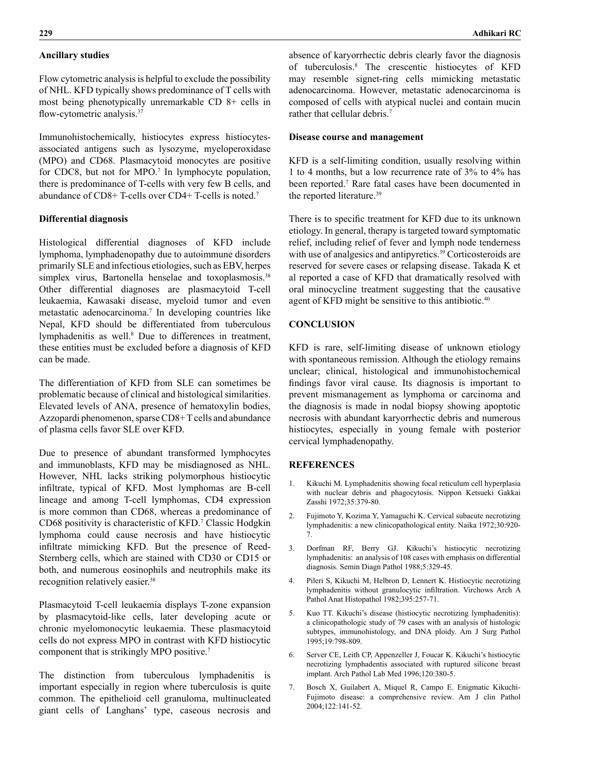### **Ancillary studies**

Flow cytometric analysis is helpful to exclude the possibility of NHL. KFD typically shows predominance of T cells with most being phenotypically unremarkable CD 8+ cells in flow-cytometric analysis.<sup>37</sup>

Immunohistochemically, histiocytes express histiocytesassociated antigens such as lysozyme, myeloperoxidase (MPO) and CD68. Plasmacytoid monocytes are positive for CDC8, but not for MPO.<sup>7</sup> In lymphocyte population, there is predominance of T-cells with very few B cells, and abundance of CD8+ T-cells over CD4+ T-cells is noted.7

# **Differential diagnosis**

Histological differential diagnoses of KFD include lymphoma, lymphadenopathy due to autoimmune disorders primarily SLE and infectious etiologies, such as EBV, herpes simplex virus, Bartonella henselae and toxoplasmosis.<sup>38</sup> Other differential diagnoses are plasmacytoid T-cell leukaemia, Kawasaki disease, myeloid tumor and even metastatic adenocarcinoma.7 In developing countries like Nepal, KFD should be differentiated from tuberculous lymphadenitis as well.<sup>8</sup> Due to differences in treatment, these entities must be excluded before a diagnosis of KFD can be made.

The differentiation of KFD from SLE can sometimes be problematic because of clinical and histological similarities. Elevated levels of ANA, presence of hematoxylin bodies, Azzopardi phenomenon, sparse CD8+ T cells and abundance of plasma cells favor SLE over KFD.

Due to presence of abundant transformed lymphocytes and immunoblasts, KFD may be misdiagnosed as NHL. However, NHL lacks striking polymorphous histiocytic infiltrate, typical of KFD. Most lymphomas are B-cell lineage and among T-cell lymphomas, CD4 expression is more common than CD68, whereas a predominance of CD68 positivity is characteristic of KFD.7 Classic Hodgkin lymphoma could cause necrosis and have histiocytic infiltrate mimicking KFD. But the presence of Reed-Sternberg cells, which are stained with CD30 or CD15 or both, and numerous eosinophils and neutrophils make its recognition relatively easier.<sup>38</sup>

Plasmacytoid T-cell leukaemia displays T-zone expansion by plasmacytoid-like cells, later developing acute or chronic myelomonocytic leukaemia. These plasmacytoid cells do not express MPO in contrast with KFD histiocytic component that is strikingly MPO positive.7

The distinction from tuberculous lymphadenitis is important especially in region where tuberculosis is quite common. The epithelioid cell granuloma, multinucleated giant cells of Langhans' type, caseous necrosis and absence of karyorrhectic debris clearly favor the diagnosis of tuberculosis.8 The crescentic histiocytes of KFD may resemble signet-ring cells mimicking metastatic adenocarcinoma. However, metastatic adenocarcinoma is composed of cells with atypical nuclei and contain mucin rather that cellular debris.<sup>7</sup>

#### **Disease course and management**

KFD is a self-limiting condition, usually resolving within 1 to 4 months, but a low recurrence rate of 3% to 4% has been reported.7 Rare fatal cases have been documented in the reported literature.39

There is to specific treatment for KFD due to its unknown etiology. In general, therapy is targeted toward symptomatic relief, including relief of fever and lymph node tenderness with use of analgesics and antipyretics.<sup>39</sup> Corticosteroids are reserved for severe cases or relapsing disease. Takada K et al reported a case of KFD that dramatically resolved with oral minocycline treatment suggesting that the causative agent of KFD might be sensitive to this antibiotic.<sup>40</sup>

# **CONCLUSION**

KFD is rare, self-limiting disease of unknown etiology with spontaneous remission. Although the etiology remains unclear; clinical, histological and immunohistochemical findings favor viral cause. Its diagnosis is important to prevent mismanagement as lymphoma or carcinoma and the diagnosis is made in nodal biopsy showing apoptotic necrosis with abundant karyorrhectic debris and numerous histiocytes, especially in young female with posterior cervical lymphadenopathy.

#### **REFERENCES**

- 1. Kikuchi M. Lymphadenitis showing focal reticulum cell hyperplasia with nuclear debris and phagocytosis. Nippon Ketsueki Gakkai Zasshi 1972;35:379-80.
- 2. Fujimoto Y, Kozima Y, Yamaguchi K. Cervical subacute necrotizing lymphadenitis: a new clinicopathological entity. Naika 1972;30:920- 7.
- 3. Dorfman RF, Berry GJ. Kikuchi's histiocytic necrotizing lymphadenitis: an analysis of 108 cases with emphasis on differential diagnosis. Semin Diagn Pathol 1988;5:329-45.
- 4. Pileri S, Kikuchi M, Helbron D, Lennert K. Histiocytic necrotizing lymphadenitis without granulocytic infiltration. Virchows Arch A Pathol Anat Histopathol 1982;395:257-71.
- 5. Kuo TT. Kikuchi's disease (histiocytic necrotizing lymphadenitis): a clinicopathologic study of 79 cases with an analysis of histologic subtypes, immunohistology, and DNA ploidy. Am J Surg Pathol 1995;19:798-809.
- 6. Server CE, Leith CP, Appenzeller J, Foucar K. Kikuchi's histiocytic necrotizing lymphadentis associated with ruptured silicone breast implant. Arch Pathol Lab Med 1996;120:380-5.
- 7. Bosch X, Guilabert A, Miquel R, Campo E. Enigmatic Kikuchi-Fujimoto disease: a comprehensive review. Am J clin Pathol 2004;122:141-52.